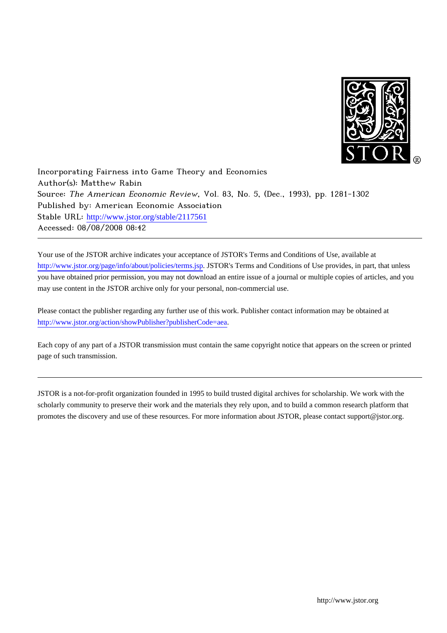

Incorporating Fairness into Game Theory and Economics Author(s): Matthew Rabin Source: The American Economic Review, Vol. 83, No. 5, (Dec., 1993), pp. 1281-1302 Published by: American Economic Association Stable URL: [http://www.jstor.org/stable/2117561](http://www.jstor.org/stable/2117561?origin=JSTOR-pdf) Accessed: 08/08/2008 08:42

Your use of the JSTOR archive indicates your acceptance of JSTOR's Terms and Conditions of Use, available at <http://www.jstor.org/page/info/about/policies/terms.jsp>. JSTOR's Terms and Conditions of Use provides, in part, that unless you have obtained prior permission, you may not download an entire issue of a journal or multiple copies of articles, and you may use content in the JSTOR archive only for your personal, non-commercial use.

Please contact the publisher regarding any further use of this work. Publisher contact information may be obtained at <http://www.jstor.org/action/showPublisher?publisherCode=aea>.

Each copy of any part of a JSTOR transmission must contain the same copyright notice that appears on the screen or printed page of such transmission.

JSTOR is a not-for-profit organization founded in 1995 to build trusted digital archives for scholarship. We work with the scholarly community to preserve their work and the materials they rely upon, and to build a common research platform that promotes the discovery and use of these resources. For more information about JSTOR, please contact support@jstor.org.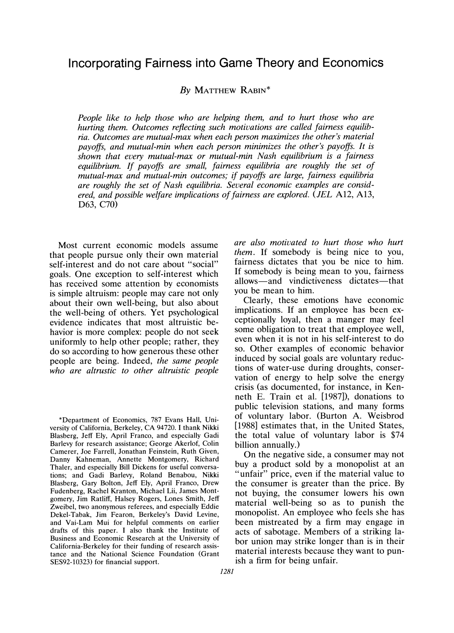# **Incorporating Fairness into Game Theory and Economics**

**By MATTHEW RABIN\*** 

**People like to help those who are helping them, and to hurt those who are hurting them. Outcomes reflecting such motivations are called fairness equilibria. Outcomes are mutual-max when each person maximizes the other's material payoffs, and mutual-min when each person minimizes the other's payoffs. It is shown that every mutual-max or mutual-min Nash equilibrium is a fairness equilibrium. If payoffs are small, fairness equilibria are roughly the set of mutual-max and mutual-min outcomes; if payoffs are large, fairness equilibria are roughly the set of Nash equilibria. Several economic examples are considered, and possible welfare implications of fairness are explored. (JEL A12, A13, D63, C70)** 

**Most current economic models assume that people pursue only their own material self-interest and do not care about "social" goals. One exception to self-interest which has received some attention by economists is simple altruism: people may care not only about their own well-being, but also about the well-being of others. Yet psychological evidence indicates that most altruistic behavior is more complex: people do not seek uniformly to help other people; rather, they do so according to how generous these other people are being. Indeed, the same people who are altrustic to other altruistic people** 

**\*Department of Economics, 787 Evans Hall, University of California, Berkeley, CA 94720. I thank Nikki Blasberg, Jeff Ely, April Franco, and especially Gadi Barlevy for research assistance; George Akerlof, Colin Camerer, Joe Farrell, Jonathan Feinstein, Ruth Given, Danny Kahneman, Annette Montgomery, Richard Thaler, and especially Bill Dickens for useful conversations; and Gadi Barlevy, Roland Benabou, Nikki Blasberg, Gary Bolton, Jeff Ely, April Franco, Drew Fudenberg, Rachel Kranton, Michael Lii, James Montgomery, Jim Ratliff, Halsey Rogers, Lones Smith, Jeff Zweibel, two anonymous referees, and especially Eddie Dekel-Tabak, Jim Fearon, Berkeley's David Levine, and Vai-Lam Mui for helpful comments on earlier drafts of this paper. I also thank the Institute of Business and Economic Research at the University of California-Berkeley for their funding of research assistance and the National Science Foundation (Grant SES92-10323) for financial support.** 

**are also motivated to hurt those who hurt them. If somebody is being nice to you, fairness dictates that you be nice to him. If somebody is being mean to you, fairness allows-and vindictiveness dictates-that you be mean to him.** 

**Clearly, these emotions have economic implications. If an employee has been exceptionally loyal, then a manger may feel some obligation to treat that employee well, even when it is not in his self-interest to do so. Other examples of economic behavior induced by social goals are voluntary reductions of water-use during droughts, conservation of energy to help solve the energy crisis (as documented, for instance, in Kenneth E. Train et al. [1987]), donations to public television stations, and many forms of voluntary labor. (Burton A. Weisbrod [1988] estimates that, in the United States, the total value of voluntary labor is \$74 billion annually.)** 

**On the negative side, a consumer may not buy a product sold by a monopolist at an "unfair" price, even if the material value to the consumer is greater than the price. By not buying, the consumer lowers his own material well-being so as to punish the monopolist. An employee who feels she has been mistreated by a firm may engage in acts of sabotage. Members of a striking labor union may strike longer than is in their material interests because they want to punish a firm for being unfair.**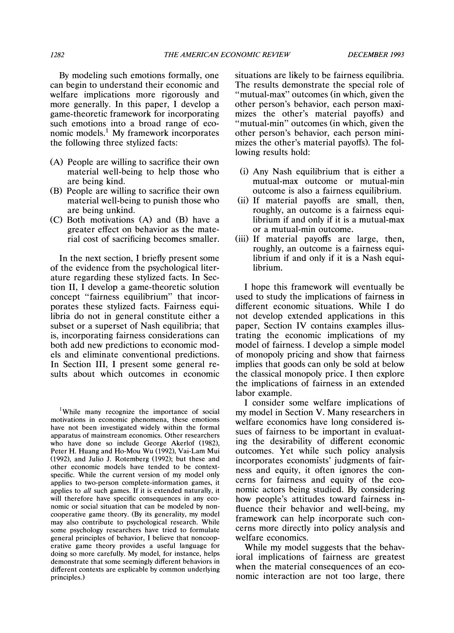**By modeling such emotions formally, one can begin to understand their economic and welfare implications more rigorously and more generally. In this paper, I develop a game-theoretic framework for incorporating such emotions into a broad range of economic models.1 My framework incorporates the following three stylized facts:** 

- **(A) People are willing to sacrifice their own material well-being to help those who are being kind.**
- **(B) People are willing to sacrifice their own material well-being to punish those who are being unkind.**
- **(C) Both motivations (A) and (B) have a greater effect on behavior as the material cost of sacrificing becomes smaller.**

**In the next section, I briefly present some of the evidence from the psychological literature regarding these stylized facts. In Section II, I develop a game-theoretic solution concept "fairness equilibrium" that incorporates these stylized facts. Fairness equilibria do not in general constitute either a subset or a superset of Nash equilibria; that is, incorporating fairness considerations can both add new predictions to economic models and eliminate conventional predictions. In Section III, I present some general results about which outcomes in economic** 

**'While many recognize the importance of social motivations in economic phenomena, these emotions have not been investigated widely within the formal apparatus of mainstream economics. Other researchers who have done so include George Akerlof (1982), Peter H. Huang and Ho-Mou Wu (1992), Vai-Lam Mui (1992), and Julio J. Rotemberg (1992); but these and other economic models have tended to be contextspecific. While the current version of my model only applies to two-person complete-information games, it applies to all such games. If it is extended naturally, it will therefore have specific consequences in any economic or social situation that can be modeled by noncooperative game theory. (By its generality, my model may also contribute to psychological research. While some psychology researchers have tried to formulate general principles of behavior, I believe that noncooperative game theory provides a useful language for doing so more carefully. My model, for instance, helps demonstrate that some seemingly different behaviors in different contexts are explicable by common underlying principles.)** 

**situations are likely to be fairness equilibria. The results demonstrate the special role of "mutual-max" outcomes (in which, given the other person's behavior, each person maximizes the other's material payoffs) and "mutual-min" outcomes (in which, given the other person's behavior, each person minimizes the other's material payoffs). The following results hold:** 

- **(i) Any Nash equilibrium that is either a mutual-max outcome or mutual-min outcome is also a fairness equilibrium.**
- **(ii) If material payoffs are small, then, roughly, an outcome is a fairness equilibrium if and only if it is a mutual-max or a mutual-min outcome.**
- **(iii) If material payoffs are large, then, roughly, an outcome is a fairness equilibrium if and only if it is a Nash equilibrium.**

**I hope this framework will eventually be used to study the implications of fairness in different economic situations. While I do not develop extended applications in this paper, Section IV contains examples illustrating the economic implications of my model of fairness. I develop a simple model of monopoly pricing and show that fairness implies that goods can only be sold at below the classical monopoly price. I then explore the implications of fairness in an extended labor example.** 

**I consider some welfare implications of my model in Section V. Many researchers in welfare economics have long considered issues of fairness to be important in evaluating the desirability of different economic outcomes. Yet while such policy analysis incorporates economists' judgments of fairness and equity, it often ignores the concerns for fairness and equity of the economic actors being studied. By considering how people's attitudes toward fairness influence their behavior and well-being, my framework can help incorporate such concerns more directly into policy analysis and welfare economics.** 

**While my model suggests that the behavioral implications of fairness are greatest when the material consequences of an economic interaction are not too large, there**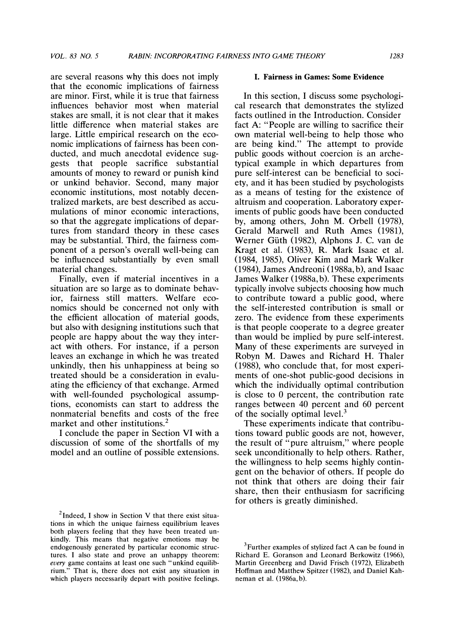**are several reasons why this does not imply that the economic implications of fairness are minor. First, while it is true that fairness influences behavior most when material stakes are small, it is not clear that it makes little difference when material stakes are large. Little empirical research on the economic implications of fairness has been conducted, and much anecdotal evidence suggests that people sacrifice substantial amounts of money to reward or punish kind or unkind behavior. Second, many major economic institutions, most notably decentralized markets, are best described as accumulations of minor economic interactions, so that the aggregate implications of departures from standard theory in these cases may be substantial. Third, the fairness component of a person's overall well-being can be influenced substantially by even small material changes.** 

**Finally, even if material incentives in a situation are so large as to dominate behavior, fairness still matters. Welfare economics should be concerned not only with the efficient allocation of material goods, but also with designing institutions such that people are happy about the way they interact with others. For instance, if a person leaves an exchange in which he was treated unkindly, then his unhappiness at being so treated should be a consideration in evaluating the efficiency of that exchange. Armed with well-founded psychological assumptions, economists can start to address the nonmaterial benefits and costs of the free market and other institutions.2** 

**I conclude the paper in Section VI with a discussion of some of the shortfalls of my model and an outline of possible extensions.** 

#### **I. Fairness in Games: Some Evidence**

**In this section, I discuss some psychological research that demonstrates the stylized facts outlined in the Introduction. Consider fact A: "People are willing to sacrifice their own material well-being to help those who are being kind." The attempt to provide public goods without coercion is an archetypical example in which departures from pure self-interest can be beneficial to society, and it has been studied by psychologists as a means of testing for the existence of altruism and cooperation. Laboratory experiments of public goods have been conducted by, among others, John M. Orbell (1978), Gerald Marwell and Ruth Ames (1981),**  Werner Güth (1982), Alphons J. C. van de **Kragt et al. (1983), R. Mark Isaac et al. (1984, 1985), Oliver Kim and Mark Walker (1984), James Andreoni (1988a, b), and Isaac James Walker (1988a, b). These experiments typically involve subjects choosing how much to contribute toward a public good, where the self-interested contribution is small or zero. The evidence from these experiments is that people cooperate to a degree greater than would be implied by pure self-interest. Many of these experiments are surveyed in Robyn M. Dawes and Richard H. Thaler (1988), who conclude that, for most experiments of one-shot public-good decisions in which the individually optimal contribution is close to 0 percent, the contribution rate ranges between 40 percent and 60 percent of the socially optimal level.3** 

**These experiments indicate that contributions toward public goods are not, however, the result of "pure altruism," where people seek unconditionally to help others. Rather, the willingness to help seems highly contingent on the behavior of others. If people do not think that others are doing their fair share, then their enthusiasm for sacrificing for others is greatly diminished.** 

**<sup>2</sup>Indeed, I show in Section V that there exist situations in which the unique fairness equilibrium leaves both players feeling that they have been treated unkindly. This means that negative emotions may be endogenously generated by particular economic structures. I also state and prove an unhappy theorem: every game contains at least one such "unkind equilibrium." That is, there does not exist any situation in which players necessarily depart with positive feelings.** 

**<sup>3</sup>Further examples of stylized fact A can be found in Richard E. Goranson and Leonard Berkowitz (1966), Martin Greenberg and David Frisch (1972), Elizabeth Hoffman and Matthew Spitzer (1982), and Daniel Kahneman et al. (1986a,b).**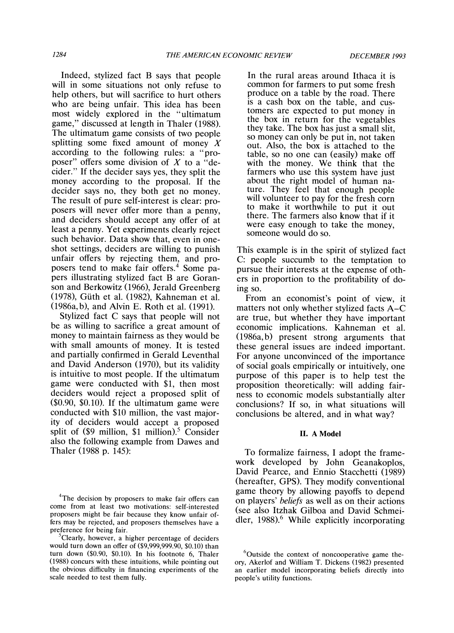**Indeed, stylized fact B says that people will in some situations not only refuse to help others, but will sacrifice to hurt others who are being unfair. This idea has been most widely explored in the "ultimatum game," discussed at length in Thaler (1988). The ultimatum game consists of two people splitting some fixed amount of money X according to the following rules: a "proposer" offers some division of X to a "decider." If the decider says yes, they split the money according to the proposal. If the decider says no, they both get no money. The result of pure self-interest is clear: proposers will never offer more than a penny, and deciders should accept any offer of at least a penny. Yet experiments clearly reject such behavior. Data show that, even in oneshot settings, deciders are willing to punish unfair offers by rejecting them, and proposers tend to make fair offers.4 Some papers illustrating stylized fact B are Goranson and Berkowitz (1966), Jerald Greenberg (1978), Guth et al. (1982), Kahneman et al. (1986a,b), and Alvin E. Roth et al. (1991).** 

**Stylized fact C says that people will not be as willing to sacrifice a great amount of money to maintain fairness as they would be with small amounts of money. It is tested and partially confirmed in Gerald Leventhal and David Anderson (1970), but its validity is intuitive to most people. If the ultimatum game were conducted with \$1, then most deciders would reject a proposed split of (\$0.90, \$0.10). If the ultimatum game were conducted with \$10 million, the vast majority of deciders would accept a proposed split of (\$9 million, \$1 million).5 Consider also the following example from Dawes and Thaler (1988 p. 145):** 

**4The decision by proposers to make fair offers can come from at least two motivations: self-interested proposers might be fair because they know unfair offers may be rejected, and proposers themselves have a preference for being fair.** 

**5Clearly, however, a higher percentage of deciders would turn down an offer of (\$9,999,999.90, \$0.10) than turn down (\$0.90, \$0.10). In his footnote 6, Thaler (1988) concurs with these intuitions, while pointing out the obvious difficulty in financing experiments of the scale needed to test them fully.** 

**In the rural areas around Ithaca it is common for farmers to put some fresh produce on a table by the road. There is a cash box on the table, and customers are expected to put money in the box in return for the vegetables they take. The box has just a small slit, so money can only be put in, not taken out. Also, the box is attached to the table, so no one can (easily) make off with the money. We think that the farmers who use this system have just about the right model of human nature. They feel that enough people will volunteer to pay for the fresh corn to make it worthwhile to put it out there. The farmers also know that if it were easy enough to take the money, someone would do so.** 

**This example is in the spirit of stylized fact C: people succumb to the temptation to pursue their interests at the expense of others in proportion to the profitability of doing so.** 

**From an economist's point of view, it matters not only whether stylized facts A-C are true, but whether they have important economic implications. Kahneman et al. (1986a, b) present strong arguments that these general issues are indeed important. For anyone unconvinced of the importance of social goals empirically or intuitively, one purpose of this paper is to help test the proposition theoretically: will adding fairness to economic models substantially alter conclusions? If so, in what situations will conclusions be altered, and in what way?** 

#### **II. A Model**

**To formalize fairness, I adopt the framework developed by John Geanakoplos, David Pearce, and Ennio Stacchetti (1989) (hereafter, GPS). They modify conventional game theory by allowing payoffs to depend on players' beliefs as well as on their actions (see also Itzhak Gilboa and David Schmeidler, 1988).6 While explicitly incorporating** 

**<sup>6</sup>Outside the context of noncooperative game theory, Akerlof and William T. Dickens (1982) presented an earlier model incorporating beliefs directly into people's utility functions.**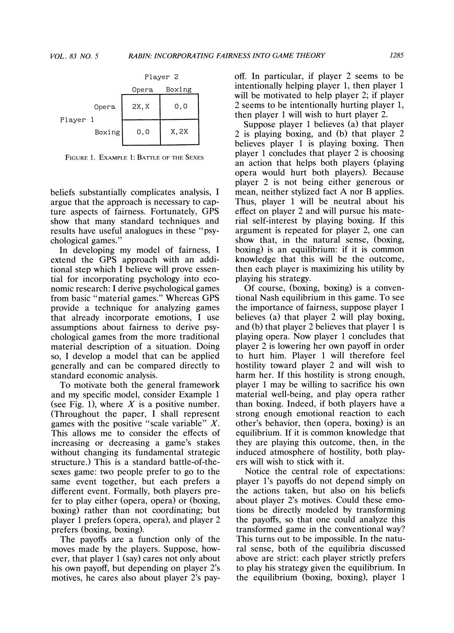

**FIGURE 1. EXAMPLE 1: BATTLE OF THE SEXES** 

**beliefs substantially complicates analysis, I argue that the approach is necessary to capture aspects of fairness. Fortunately, GPS show that many standard techniques and results have useful analogues in these "psychological games."** 

**In developing my model of fairness, I extend the GPS approach with an additional step which I believe will prove essential for incorporating psychology into economic research: I derive psychological games from basic "material games." Whereas GPS provide a technique for analyzing games that already incorporate emotions, I use assumptions about fairness to derive psychological games from the more traditional material description of a situation. Doing so, I develop a model that can be applied generally and can be compared directly to standard economic analysis.** 

**To motivate both the general framework and my specific model, consider Example 1 (see Fig. 1), where X is a positive number. (Throughout the paper, I shall represent games with the positive "scale variable" X. This allows me to consider the effects of increasing or decreasing a game's stakes without changing its fundamental strategic structure.) This is a standard battle-of-thesexes game: two people prefer to go to the same event together, but each prefers a different event. Formally, both players prefer to play either (opera, opera) or (boxing, boxing) rather than not coordinating; but player 1 prefers (opera, opera), and player 2 prefers (boxing, boxing).** 

**The payoffs are a function only of the moves made by the players. Suppose, however, that player 1 (say) cares not only about his own payoff, but depending on player 2's motives, he cares also about player 2's pay-** **off. In particular, if player 2 seems to be intentionally helping player 1, then player 1 will be motivated to help player 2; if player 2 seems to be intentionally hurting player 1, then player 1 will wish to hurt player 2.** 

**Suppose player 1 believes (a) that player 2 is playing boxing, and (b) that player 2 believes player 1 is playing boxing. Then player 1 concludes that player 2 is choosing an action that helps both players (playing opera would hurt both players). Because player 2 is not being either generous or mean, neither stylized fact A nor B applies. Thus, player 1 will be neutral about his effect on player 2 and will pursue his material self-interest by playing boxing. If this argument is repeated for player 2, one can show that, in the natural sense, (boxing, boxing) is an equilibrium: if it is common knowledge that this will be the outcome, then each player is maximizing his utility by playing his strategy.** 

**Of course, (boxing, boxing) is a conventional Nash equilibrium in this game. To see the importance of fairness, suppose player 1 believes (a) that player 2 will play boxing, and (b) that player 2 believes that player 1 is playing opera. Now player 1 concludes that player 2 is lowering her own payoff in order to hurt him. Player 1 will therefore feel hostility toward player 2 and will wish to harm her. If this hostility is strong enough, player 1 may be willing to sacrifice his own material well-being, and play opera rather than boxing. Indeed, if both players have a strong enough emotional reaction to each other's behavior, then (opera, boxing) is an equilibrium. If it is common knowledge that they are playing this outcome, then, in the induced atmosphere of hostility, both players will wish to stick with it.** 

**Notice the central role of expectations: player l's payoffs do not depend simply on the actions taken, but also on his beliefs about player 2's motives. Could these emotions be directly modeled by transforming the payoffs, so that one could analyze this transformed game in the conventional way? This turns out to be impossible. In the natural sense, both of the equilibria discussed above are strict: each player strictly prefers to play his strategy given the equilibrium. In the equilibrium (boxing, boxing), player 1**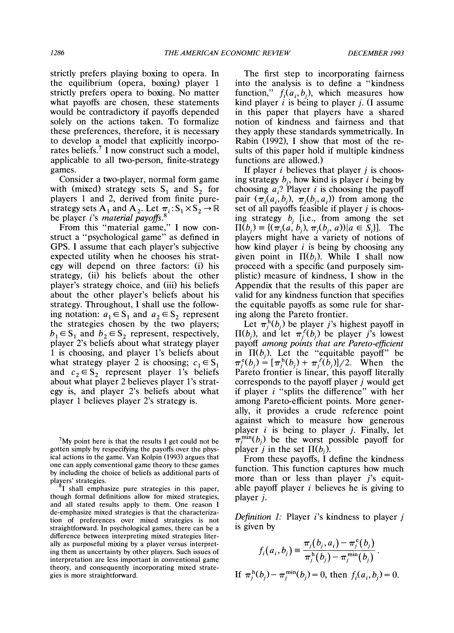**strictly prefers playing boxing to opera. In the equilibrium (opera, boxing) player 1 strictly prefers opera to boxing. No matter what payoffs are chosen, these statements would be contradictory if payoffs depended solely on the actions taken. To formalize these preferences, therefore, it is necessary to develop a model that explicitly incorpo**rates beliefs.<sup>7</sup> I now construct such a model, **applicable to all two-person, finite-strategy games.** 

**Consider a two-player, normal form game**  with (mixed) strategy sets  $S_1$  and  $S_2$  for **players 1 and 2, derived from finite pure**strategy sets  $A_1$  and  $A_2$ . Let  $\pi_i: S_1 \times S_2 \to \mathbb{R}$ **be player i's material payoffs.8** 

**From this "material game," I now construct a "psychological game" as defined in GPS. I assume that each player's subjective expected utility when he chooses his strategy will depend on three factors: (i) his strategy, (ii) his beliefs about the other player's strategy choice, and (iii) his beliefs about the other player's beliefs about his strategy. Throughout, I shall use the follow**ing notation:  $a_1 \in S_1$  and  $a_2 \in S_2$  represent **the strategies chosen by the two players;**   $b_1 \in S_1$  and  $b_2 \in S_2$  represent, respectively, **player 2's beliefs about what strategy player 1 is choosing, and player l's beliefs about**  what strategy player 2 is choosing;  $c_1 \in S_1$ and  $c_2 \in S_2$  represent player 1's beliefs **about what player 2 believes player l's strategy is, and player 2's beliefs about what player 1 believes player 2's strategy is.** 

**7My point here is that the results I get could not be gotten simply by respecifying the payoffs over the physical actions in the game. Van Kolpin (1993) argues that one can apply conventional game theory to these games by including the choice of beliefs as additional parts of plavers' strategies.** 

**I shall emphasize pure strategies in this paper, though formal definitions allow for mixed strategies, and all stated results apply to them. One reason I de-emphasize mixed strategies is that the characterization of preferences over mixed strategies is not straightforward. In psychological games, there can be a difference between interpreting mixed strategies literally as purposeful mixing by a player versus interpreting them as uncertainty by other players. Such issues of interpretation are less important in conventional game theory, and consequently incorporating mixed strategies is more straightforward.** 

**The first step to incorporating fairness into the analysis is to define a "kindness**  function,"  $f_i(a_i, b_i)$ , which measures how **kind player i is being to player j. (I assume in this paper that players have a shared notion of kindness and fairness and that they apply these standards symmetrically. In Rabin (1992), I show that most of the results of this paper hold if multiple kindness functions are allowed.)** 

**If player i believes that player j is choos**ing strategy  $b_i$ , how kind is player *i* being by choosing  $a_i$ ? Player *i* is choosing the payoff pair  $(\pi_i(a_i, b_i), \pi_i(b_i, a_i))$  from among the **set of all payoffs feasible if player j is choos**ing strategy  $b_i$  [i.e., from among the set  $\Pi(b_i) = \{ (\pi_i(a, b_i), \pi_i(b_i, a)) | a \in S_i \}$ . The **players might have a variety of notions of how kind player i is being by choosing any**  given point in  $\Pi(b_i)$ . While I shall now **proceed with a specific (and purposely simplistic) measure of kindness, I show in the Appendix that the results of this paper are valid for any kindness function that specifies the equitable payoffs as some rule for sharing along the Pareto frontier.** 

Let  $\pi_i^h(b_i)$  be player *j*'s highest payoff in  $\Pi(b_i)$ , and let  $\pi_i^{\ell}(b_i)$  be player j's lowest **payoff among points that are Pareto-efficient**  in  $\Pi(b_i)$ . Let the "equitable payoff" be  $\pi_i^e(b_i) = [\pi_i^h(b_i) + \pi_i^e(\dot{b}_i)]/2$ . When the **Pareto frontier is linear, this payoff literally corresponds to the payoff player j would get if player i "splits the difference" with her among Pareto-efficient points. More generally, it provides a crude reference point against which to measure how generous player i is being to player j. Finally, let**   $\pi_i^{\min}(b_i)$  be the worst possible payoff for player *j* in the set  $\Pi(b_i)$ .

**From these payoffs, I define the kindness function. This function captures how much**  more than or less than player *j's* equit**able payoff player i believes he is giving to player j.** 

**Definition 1: Player i's kindness to player j is given by** 

$$
f_i(a_i, b_j) \equiv \frac{\pi_j(b_j, a_i) - \pi_j^e(b_j)}{\pi_j^h(b_j) - \pi_j^{\min}(b_j)}.
$$
  
If  $\pi_j^h(b_j) - \pi_j^{\min}(b_j) = 0$ , then  $f_i(a_i, b_j) = 0$ .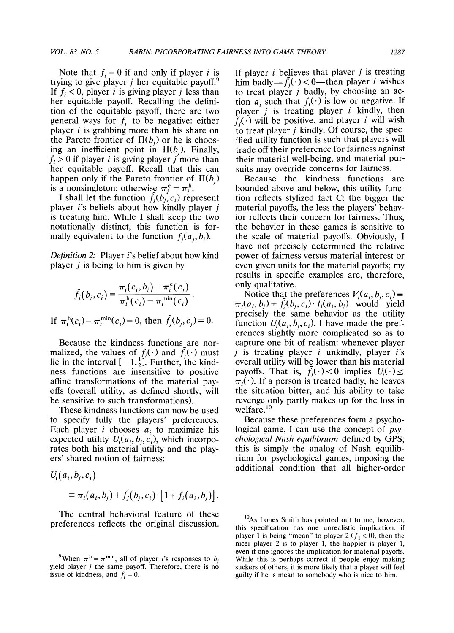Note that  $f_i = 0$  if and only if player *i* is **trying to give player j her equitable payoff.9**  If  $f_i < 0$ , player *i* is giving player *j* less than **her equitable payoff. Recalling the definition of the equitable payoff, there are two**  general ways for  $f_i$  to be negative: either **player i is grabbing more than his share on**  the Pareto frontier of  $\Pi(b_i)$  or he is choosing an inefficient point in  $\Pi(b_i)$ . Finally,  $f_i > 0$  if player *i* is giving player *j* more than **her equitable payoff. Recall that this can**  happen only if the Pareto frontier of  $\Pi(b_i)$ is a nonsingleton; otherwise  $\pi_i^e = \pi_i^h$ 

**I** shall let the function  $f_j(b_j, c_i)$  represent **player i's beliefs about how kindly player j is treating him. While I shall keep the two notationally distinct, this function is for**mally equivalent to the function  $f_i(a_i, b_i)$ .

**Definition 2: Player i's belief about how kind player j is being to him is given by** 

$$
\tilde{f}_j(b_j,c_i) = \frac{\pi_i(c_i,b_j) - \pi_i^e(c_j)}{\pi_i^h(c_i) - \pi_i^{min}(c_i)}.
$$

**If**  $\pi_i^{\text{h}}(c_i) - \pi_i^{\min}(c_i) = 0$ , then  $\tilde{f}_i(b_i, c_j) = 0$ .

**Because the kindness functions are nor**malized, the values of  $f_i(\cdot)$  and  $f_j(\cdot)$  must lie in the interval  $[-1, \frac{1}{2}]$ . Further, the kind**ness functions are insensitive to positive affine transformations of the material payoffs (overall utility, as defined shortly, will be sensitive to such transformations).** 

**These kindness functions can now be used to specify fully the players' preferences.**  Each player  $i$  chooses  $a_i$  to maximize his expected utility  $U_i(a_i, b_i, c_i)$ , which incorpo**rates both his material utility and the players' shared notion of fairness:** 

$$
U_i(a_i, b_j, c_i)
$$
  
\n
$$
\equiv \pi_i(a_i, b_j) + \tilde{f}_j(b_j, c_i) \cdot [1 + f_i(a_i, b_j)].
$$

**The central behavioral feature of these preferences reflects the original discussion.** 

**If player i believes that player j is treating**  him badly— $f_i(\cdot)$  < 0—then player *i* wishes **to treat player j badly, by choosing an ac**tion  $a_i$  such that  $f_i(\cdot)$  is low or negative. If **player j is treating player i kindly, then**   $\bar{f}_i(\cdot)$  will be positive, and player *i* will wish **to treat player j kindly. Of course, the specified utility function is such that players will trade off their preference for fairness against their material well-being, and material pursuits may override concerns for fairness.** 

**Because the kindness functions are bounded above and below, this utility function reflects stylized fact C: the bigger the material payoffs, the less the players' behavior reflects their concern for fairness. Thus, the behavior in these games is sensitive to the scale of material payoffs. Obviously, I have not precisely determined the relative power of fairness versus material interest or even given units for the material payoffs; my results in specific examples are, therefore, only qualitative.** 

Notice that the preferences  $V_i(a_i, b_i, c_i) \equiv$  $\pi_i(a_i, b_i) + f_i(b_i, c_i) \cdot f_i(a_i, b_i)$  would yield **precisely the same behavior as the utility**  function  $U_i(a_i, b_i, c_i)$ . I have made the pref**erences slightly more complicated so as to capture one bit of realism: whenever player j is treating player i unkindly, player i's overall utility will be lower than his material**  payoffs. That is,  $f_j(\cdot) < 0$  implies  $U_i(\cdot) \leq$  $\pi_i(\cdot)$ . If a person is treated badly, he leaves **the situation bitter, and his ability to take revenge only partly makes up for the loss in**   $w$ elfare.<sup>10</sup>

**Because these preferences form a psychological game, I can use the concept of psychological Nash equilibrium defined by GPS; this is simply the analog of Nash equilibrium for psychological games, imposing the additional condition that all higher-order** 

<sup>&</sup>lt;sup>9</sup>When  $\pi^h = \pi^{min}$ , all of player *i*'s responses to *b*<sub>i</sub> **yield player j the same payoff. Therefore, there is no**  issue of kindness, and  $f_i = 0$ .

<sup>&</sup>lt;sup>10</sup>As Lones Smith has pointed out to me, however, **this specification has one unrealistic implication: if player 1 is being "mean" to player 2**  $(f_1 < 0)$ **, then the nicer player 2 is to player 1, the happier is player 1, even if one ignores the implication for material payoffs. While this is perhaps correct if people enjoy making suckers of others, it is more likely that a player will feel guilty if he is mean to somebody who is nice to him.**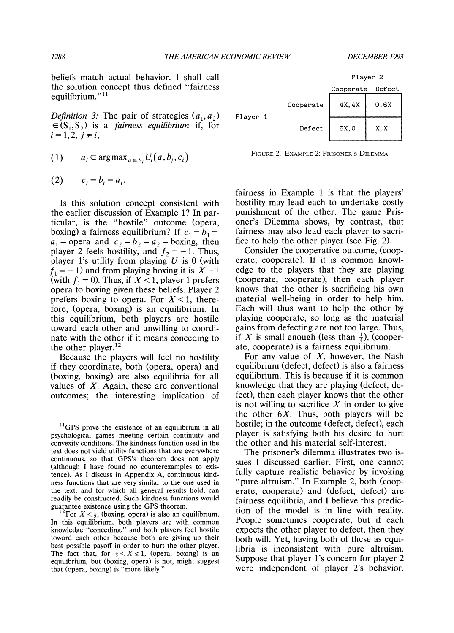**Player 1** 

**beliefs match actual behavior. I shall call the solution concept thus defined "fairness equilibrium." 11** 

*Definition 3:* The pair of strategies  $(a_1, a_2)$  $\in$ **(S<sub>1</sub>, S<sub>2</sub>) is a** *fairness equilibrium* **if, for**  $i=1,2, j \neq i,$ 

$$
(1) \qquad a_i \in \operatorname{argmax}_{a \in S_i} U_i(a, b_j, c_i)
$$

$$
(2) \qquad c_i = b_i = a_i.
$$

**Is this solution concept consistent with the earlier discussion of Example 1? In particular, is the "hostile" outcome (opera,**  boxing) a fairness equilibrium? If  $c_1 = b_1 =$  $a_1$  = opera and  $c_2 = b_2 = a_2$  = boxing, then player 2 feels hostility, and  $f_2 = -1$ . Thus, **player l's utility from playing U is 0 (with**   $f_1 = -1$ ) and from playing boxing it is  $X - 1$ (with  $f_1 = 0$ ). Thus, if  $X < 1$ , player 1 prefers **opera to boxing given these beliefs. Player 2**  prefers boxing to opera. For  $X < 1$ , there**fore, (opera, boxing) is an equilibrium. In this equilibrium, both players are hostile toward each other and unwilling to coordinate with the other if it means conceding to the other player.12** 

**Because the players will feel no hostility if they coordinate, both (opera, opera) and (boxing, boxing) are also equilibria for all values of X. Again, these are conventional outcomes; the interesting implication of** 

**1iGPS prove the existence of an equilibrium in all psychological games meeting certain continuity and convexity conditions. The kindness function used in the text does not yield utility functions that are everywhere continuous, so that GPS's theorem does not apply (although I have found no counterexamples to existence). As I discuss in Appendix A, continuous kindness functions that are very similar to the one used in the text, and for which all general results hold, can readily be constructed. Such kindness functions would guarantee existence using the GPS theorem.** 

<sup>12</sup>For  $X \leq \frac{1}{2}$ , (boxing, opera) is also an equilibrium. **In this equilibrium, both players are with common knowledge "conceding," and both players feel hostile toward each other because both are giving up their best possible payoff in order to hurt the other player.**  The fact that, for  $\frac{1}{2} < X \le 1$ , (opera, boxing) is an **equilibrium, but (boxing, opera) is not, might suggest that (opera, boxing) is "more likely."** 

**Cooperate 4X,F4X ,6X** 

| Defect | 6X.O | x, x |
|--------|------|------|
|        |      |      |

**FIGURE 2. EXAMPLE 2: PRISONER'S DILEMMA** 

**fairness in Example 1 is that the players' hostility may lead each to undertake costly punishment of the other. The game Prisoner's Dilemma shows, by contrast, that fairness may also lead each player to sacrifice to help the other player (see Fig. 2).** 

**Consider the cooperative outcome, (cooperate, cooperate). If it is common knowledge to the players that they are playing (cooperate, cooperate), then each player knows that the other is sacrificing his own material well-being in order to help him. Each will thus want to help the other by playing cooperate, so long as the material gains from defecting are not too large. Thus,**  if X is small enough (less than  $\frac{1}{4}$ ), (cooper**ate, cooperate) is a fairness equilibrium.** 

**For any value of X, however, the Nash equilibrium (defect, defect) is also a fairness equilibrium. This is because if it is common knowledge that they are playing (defect, defect), then each player knows that the other is not willing to sacrifice X in order to give**  the other  $6X$ . Thus, both players will be **hostile; in the outcome (defect, defect), each player is satisfying both his desire to hurt the other and his material self-interest.** 

**The prisoner's dilemma illustrates two issues I discussed earlier. First, one cannot fully capture realistic behavior by invoking "pure altruism." In Example 2, both (cooperate, cooperate) and (defect, defect) are fairness equilibria, and I believe this prediction of the model is in line with reality. People sometimes cooperate, but if each expects the other player to defect, then they both will. Yet, having both of these as equilibria is inconsistent with pure altruism. Suppose that player l's concern for player 2 were independent of player 2's behavior.** 

**Player 2 Cooperate Defect**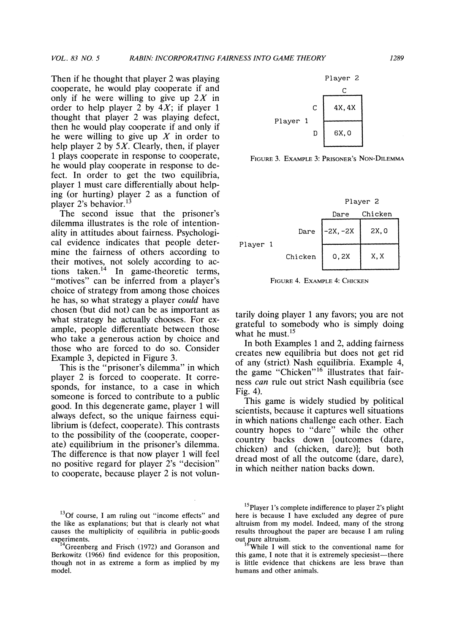**Then if he thought that player 2 was playing cooperate, he would play cooperate if and**  only if he were willing to give up  $2X$  in **order to help player 2 by 4X; if player 1 thought that player 2 was playing defect, then he would play cooperate if and only if**  he were willing to give up  $X$  in order to **help player 2 by 5X. Clearly, then, if player 1 plays cooperate in response to cooperate, he would play cooperate in response to defect. In order to get the two equilibria, player 1 must care differentially about helping (or hurting) player 2 as a function of player 2's behavior.13** 

**The second issue that the prisoner's dilemma illustrates is the role of intentionality in attitudes about fairness. Psychological evidence indicates that people determine the fairness of others according to their motives, not solely according to actions taken.14 In game-theoretic terms, "motives" can be inferred from a player's choice of strategy from among those choices he has, so what strategy a player could have chosen (but did not) can be as important as what strategy he actually chooses. For example, people differentiate between those who take a generous action by choice and those who are forced to do so. Consider Example 3, depicted in Figure 3.** 

**This is the "prisoner's dilemma" in which player 2 is forced to cooperate. It corresponds, for instance, to a case in which someone is forced to contribute to a public good. In this degenerate game, player 1 will always defect, so the unique fairness equilibrium is (defect, cooperate). This contrasts to the possibility of the (cooperate, cooperate) equilibrium in the prisoner's dilemma. The difference is that now player 1 will feel no positive regard for player 2's "decision" to cooperate, because player 2 is not volun-**

**130f course, I am ruling out "income effects" and the like as explanations; but that is clearly not what causes the multiplicity of equilibria in public-goods experiments.** 



**FIGURE 3. EXAMPLE 3: PRISONER'S NON-DILEMMA** 



**FIGURE 4. EXAMPLE 4: CHICKEN** 

**tarily doing player 1 any favors; you are not grateful to somebody who is simply doing what he must.15** 

**In both Examples 1 and 2, adding fairness creates new equilibria but does not get rid of any (strict), Nash equilibria. Example 4, the game "Chicken" 16 illustrates that fairness can rule out strict Nash equilibria (see Fig. 4).** 

**This game is widely studied by political scientists, because it captures well situations in which nations challenge each other. Each country hopes to "dare" while the other country backs down [outcomes (dare, chicken) and (chicken, dare)]; but both dread most of all the outcome (dare, dare), in which neither nation backs down.** 

**15Player l's complete indifference to player 2's plight here is because I have excluded any degree of pure altruism from my model. Indeed, many of the strong results throughout the paper are because I am ruling**  out pure altruism.

**<sup>14</sup>Greenberg and Frisch (1972) and Goranson and Berkowitz (1966) find evidence for this proposition, though not in as extreme a form as implied by my model.** 

**While I will stick to the conventional name for this game, I note that it is extremely speciesist-there is little evidence that chickens are less brave than humans and other animals.**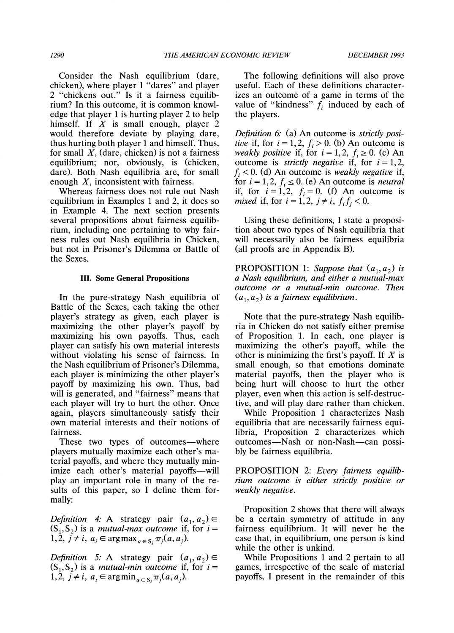**Consider the Nash equilibrium (dare, chicken), where player 1 "dares" and player 2 "chickens out." Is it a fairness equilibrium? In this outcome, it is common knowledge that player 1 is hurting player 2 to help himself. If X is small enough, player 2 would therefore deviate by playing dare, thus hurting both player 1 and himself. Thus, for small X, (dare, chicken) is not a fairness equilibrium; nor, obviously, is (chicken, dare). Both Nash equilibria are, for small enough X, inconsistent with fairness.** 

**Whereas fairness does not rule out Nash equilibrium in Examples 1 and 2, it does so in Example 4. The next section presents several propositions about fairness equilibrium, including one pertaining to why fairness rules out Nash equilibria in Chicken, but not in Prisoner's Dilemma or Battle of the Sexes.** 

#### **III. Some General Propositions**

**In the pure-strategy Nash equilibria of Battle of the Sexes, each taking the other player's strategy as given, each player is maximizing the other player's payoff by maximizing his own payoffs. Thus, each player can satisfy his own material interests without violating his sense of fairness. In the Nash equilibrium of Prisoner's Dilemma, each player is minimizing the other player's payoff by maximizing his own. Thus, bad will is generated, and "fairness" means that each player will try to hurt the other. Once again, players simultaneously satisfy their own material interests and their notions of fairness.** 

**These two types of outcomes-where players mutually maximize each other's material payoffs, and where they mutually min**imize each other's material payoffs-will **play an important role in many of the results of this paper, so I define them formally:** 

*Definition 4:* A strategy pair  $(a_1, a_2) \in$  $(\mathbf{S}_1, \mathbf{S}_2)$  is a *mutual-max outcome* if, for  $i=$  $1, 2, j \neq i, a_i \in \arg \max_{a \in S_i} \pi_j(a, a_j).$ 

*Definition* 5: A strategy pair  $(a_1, a_2) \in$  $(S_1, S_2)$  is a *mutual-min outcome* if, for  $i=$ 1,2,  $\bar{j} \neq i$ ,  $a_i \in \text{argmin}_{a \in S_i} \pi_j(a, a_j)$ .

**The following definitions will also prove useful. Each of these definitions characterizes an outcome of a game in terms of the**  value of "kindness"  $f_i$  induced by each of **the players.** 

**Definition 6: (a) An outcome is strictly posi**tive if, for  $i = 1, 2, f_i > 0$ . (b) An outcome is *weakly positive* if, for  $i = 1, 2, f_i \ge 0$ . (c) An **outcome is strictly negative if, for**  $i = 1, 2$ **,**  $f_i < 0$ . (d) An outcome is *weakly negative* if, for  $i = 1, 2, f_i \leq 0$ . (e) An outcome is *neutral* if, for  $i = 1, 2$ ,  $f_i = 0$ . (f) An outcome is *mixed* if, for  $i=1,2, j\neq i$ ,  $f_i f_j <$ 

**Using these definitions, I state a proposition about two types of Nash equilibria that will necessarily also be fairness equilibria (all proofs are in Appendix B).** 

**PROPOSITION** 1: Suppose that  $(a_1, a_2)$  is **a Nash equilibrium, and either a mutual-max outcome or a mutual-min outcome. Then**   $(a_1, a_2)$  *is a fairness equilibrium.* 

**Note that the pure-strategy Nash equilibria in Chicken do not satisfy either premise of Proposition 1. In each, one player is maximizing the other's payoff, while the other is minimizing the first's payoff. If X is small enough, so that emotions dominate material payoffs, then the player who is being hurt will choose to hurt the other player, even when this action is self-destructive, and will play dare rather than chicken.** 

**While Proposition 1 characterizes Nash equilibria that are necessarily fairness equilibria, Proposition 2 characterizes which**  outcomes—Nash or non-Nash—can possi**bly be fairness equilibria.** 

**PROPOSITION 2: Every fairness equilibrium outcome is either strictly positive or weakly negative.** 

**Proposition 2 shows that there will always be a certain symmetry of attitude in any fairness equilibrium. It will never be the case that, in equilibrium, one person is kind while the other is unkind.** 

**While Propositions 1 and 2 pertain to all games, irrespective of the scale of material payoffs, I present in the remainder of this**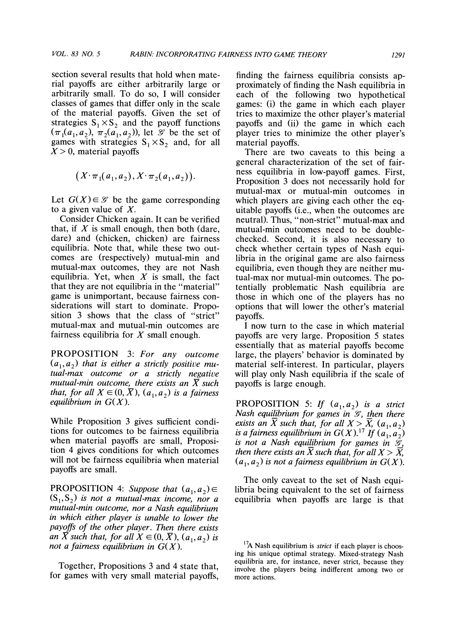**section several results that hold when material payoffs are either arbitrarily large or arbitrarily small. To do so, I will consider classes of games that differ only in the scale of the material payoffs. Given the set of**  strategies  $S_1 \times S_2$  and the payoff functions  $(\pi_1(a_1, a_2), \pi_2(a_1, a_2))$ , let  $\mathcal{G}$  be the set of games with strategies  $S_1 \times S_2$  and, for all  $X > 0$ , material payoffs

$$
(X \cdot \pi_1(a_1, a_2), X \cdot \pi_2(a_1, a_2)).
$$

Let  $G(X) \in \mathcal{G}$  be the game corresponding **to a given value of X.** 

**Consider Chicken again. It can be verified that, if X is small enough, then both (dare, dare) and (chicken, chicken) are fairness equilibria. Note that, while these two outcomes are (respectively) mutual-min and mutual-max outcomes, they are not Nash equilibria. Yet, when X is small, the fact that they are not equilibria in the "material" game is unimportant, because fairness considerations will start to dominate. Proposition 3 shows that the class of "strict" mutual-max and mutual-min outcomes are fairness equilibria for X small enough.** 

**PROPOSITION 3: For any outcome**   $(a_1, a_2)$  that is either a strictly positive mu**tual-max outcome or a strictly negative mutual-min outcome, there exists an X such**  *that, for all*  $X \in (0, \overline{X})$ ,  $(a_1, a_2)$  *is a fairness* **equilibrium in G(X).** 

**While Proposition 3 gives sufficient conditions for outcomes to be fairness equilibria when material payoffs are small, Proposition 4 gives conditions for which outcomes will not be fairness equilibria when material payoffs are small.** 

**PROPOSITION** 4: Suppose that  $(a_1, a_2) \in$  $(S_1, S_2)$  is not a mutual-max income, nor a **mutual-min outcome, nor a Nash equilibrium in which either player is unable to lower the payoffs of the other player. Then there exists**  an  $\overline{X}$  such that, for all  $X \in (0, \overline{X})$ ,  $(a_1, a_2)$  is **not a fairness equilibrium in G(X).** 

**Together, Propositions 3 and 4 state that, for games with very small material payoffs,**  **finding the fairness equilibria consists approximately of finding the Nash equilibria in each of the following two hypothetical games: (i) the game in which each player tries to maximize the other player's material payoffs and (ii) the game in which each player tries to minimize the other player's material payoffs.** 

**There are two caveats to this being a general characterization of the set of fairness equilibria in low-payoff games. First, Proposition 3 does not necessarily hold for mutual-max or mutual-min outcomes in which players are giving each other the equitable payoffs (i.e., when the outcomes are neutral). Thus, "non-strict" mutual-max and mutual-min outcomes need to be doublechecked. Second, it is also necessary to check whether certain types of Nash equilibria in the original game are also fairness equilibria, even though they are neither mutual-max nor mutual-min outcomes. The potentially problematic Nash equilibria are those in which one of the players has no options that will lower the other's material payoffs.** 

**I now turn to the case in which material payoffs are very large. Proposition 5 states essentially that as material payoffs become large, the players' behavior is dominated by material self-interest. In particular, players will play only Nash equilibria if the scale of payoffs is large enough.** 

**PROPOSITION** 5: If  $(a_1, a_2)$  is a strict **Nash equilibrium for games in**  $\mathcal{G}$ **, then there** exists an  $\overline{X}$  such that, for all  $X > \overline{X}$ ,  $(a_1, a_2)$ is a fairness equilibrium in  $G(X)$ .<sup>17</sup> If  $(a_1, a_2)$ is not a Nash equilibrium for games in  $\mathcal{F}_1$ , *then there exists an*  $\overline{X}$  *such that, for all*  $X > \overline{X}$ *,*  $(a_1, a_2)$  is not a fairness equilibrium in  $G(X)$ .

**The only caveat to the set of Nash equilibria being equivalent to the set of fairness equilibria when payoffs are large is that** 

**<sup>17</sup>  17A Nash equilibrium is strict if each player is choosing his unique optimal strategy. Mixed-strategy Nash equilibria are, for instance, never strict, because they involve the players being indifferent among two or more actions.**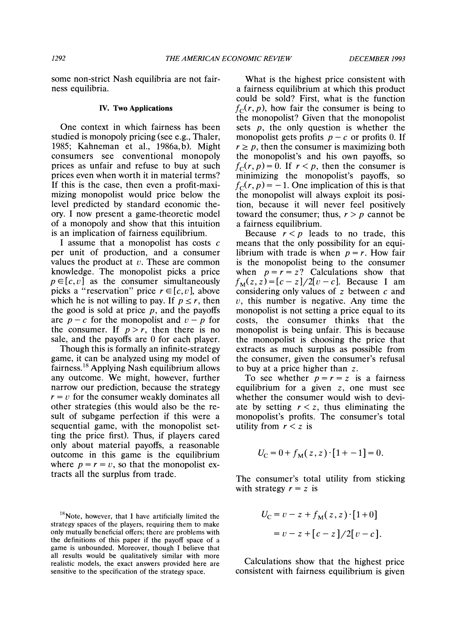**some non-strict Nash equilibria are not fairness equilibria.** 

#### **IV. Two Applications**

**One context in which fairness has been studied is monopoly pricing (see e.g., Thaler, 1985; Kahneman et al., 1986a,b). Might consumers see conventional monopoly prices as unfair and refuse to buy at such prices even when worth it in material terms? If this is the case, then even a profit-maximizing monopolist would price below the level predicted by standard economic theory. I now present a game-theoretic model of a monopoly and show that this intuition is an implication of fairness equilibrium.** 

**I assume that a monopolist has costs c per unit of production, and a consumer values the product at v. These are common knowledge. The monopolist picks a price**   $p \in [c, v]$  as the consumer simultaneously picks a "reservation" price  $r \in [c, v]$ , above which he is not willing to pay. If  $p \le r$ , then the good is sold at price  $p$ , and the payoffs are  $p - c$  for the monopolist and  $v - p$  for the consumer. If  $p > r$ , then there is no **sale, and the payoffs are 0 for each player.** 

**Though this is formally an infinite-strategy game, it can be analyzed using my model of fairness.18 Applying Nash equilibrium allows any outcome. We might, however, further narrow our prediction, because the strategy**   $r = v$  for the consumer weakly dominates all **other strategies (this would also be the result of subgame perfection if this were a sequential game, with the monopolist setting the price first). Thus, if players cared only about material payoffs, a reasonable outcome in this game is the equilibrium**  where  $p = r = v$ , so that the monopolist ex**tracts all the surplus from trade.** 

**18Note, however, that I have artificially limited the strategy spaces of the players, requiring them to make only mutually beneficial offers; there are problems with the definitions of this paper if the payoff space of a game is unbounded. Moreover, though I believe that all results would be qualitatively similar with more realistic models, the exact answers provided here are sensitive to the specification of the strategy space.** 

**What is the highest price consistent with a fairness equilibrium at which this product could be sold? First, what is the function**   $f_c(r, p)$ , how fair the consumer is being to **the monopolist? Given that the monopolist sets p, the only question is whether the**  monopolist gets profits  $p - c$  or profits 0. If  $r \geq p$ , then the consumer is maximizing both **the monopolist's and his own payoffs, so**   $f_c(r, p) = 0$ . If  $r < p$ , then the consumer is **minimizing the monopolist's payoffs, so**   $f_C(r, p) = -1$ . One implication of this is that **the monopolist will always exploit its position, because it will never feel positively toward the consumer; thus,**  $r > p$  **cannot be a fairness equilibrium.** 

Because  $r < p$  leads to no trade, this **means that the only possibility for an equilibrium** with trade is when  $p = r$ . How fair **is the monopolist being to the consumer**  when  $p = r = z$ ? Calculations show that  $f_{M}(z, z) = [c-z]/2[v-c]$ . Because I am **considering only values of z between c and v, this number is negative. Any time the monopolist is not setting a price equal to its costs, the consumer thinks that the monopolist is being unfair. This is because the monopolist is choosing the price that extracts as much surplus as possible from the consumer, given the consumer's refusal to buy at a price higher than z.** 

To see whether  $p = r = z$  is a fairness **equilibrium for a given z, one must see whether the consumer would wish to devi**ate by setting  $r < z$ , thus eliminating the **monopolist's profits. The consumer's total utility** from  $r < z$  is

$$
U_{\rm C} = 0 + f_{\rm M}(z, z) \cdot [1 + -1] = 0.
$$

**The consumer's total utility from sticking**  with strategy  $r = z$  is

$$
U_{\rm C} = v - z + f_{\rm M}(z, z) \cdot [1 + 0]
$$

$$
= v - z + [c - z]/2[v - c].
$$

**Calculations show that the highest price consistent with fairness equilibrium is given**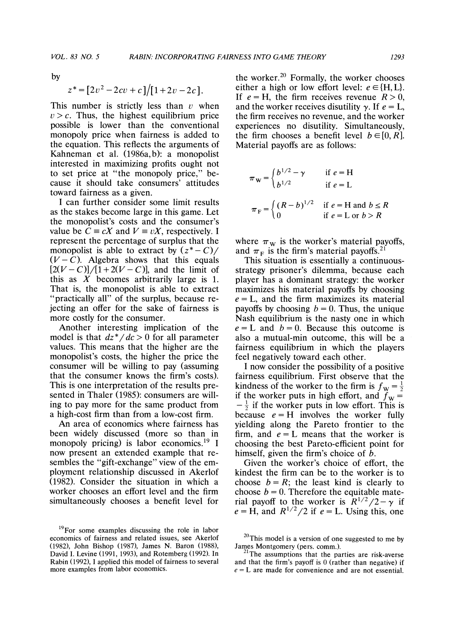**by** 

$$
z^* = [2v^2 - 2cv + c]/[1 + 2v - 2c].
$$

This number is strictly less than  $v$  when  $v > c$ . Thus, the highest equilibrium price **possible is lower than the conventional monopoly price when fairness is added to the equation. This reflects the arguments of Kahneman et al. (1986a, b): a monopolist interested in maximizing profits ought not to set price at "the monopoly price," because it should take consumers' attitudes toward fairness as a given.** 

**I can further consider some limit results as the stakes become large in this game. Let the monopolist's costs and the consumer's**  value be  $C \equiv cX$  and  $V \equiv vX$ , respectively. I **represent the percentage of surplus that the**  monopolist is able to extract by  $(z^* - C)$  $(V - C)$ . Algebra shows that this equals  $[2(V - C)]/[1 + 2(V - C)]$ , and the limit of **this as X becomes arbitrarily large is 1. That is, the monopolist is able to extract "practically all" of the surplus, because rejecting an offer for the sake of fairness is more costly for the consumer.** 

**Another interesting implication of the**  model is that  $dz^*/dc > 0$  for all parameter **values. This means that the higher are the monopolist's costs, the higher the price the consumer will be willing to pay (assuming that the consumer knows the firm's costs). This is one interpretation of the results presented in Thaler (1985): consumers are willing to pay more for the same product from a high-cost firm than from a low-cost firm.** 

**An area of economics where fairness has been widely discussed (more so than in monopoly pricing) is labor economics.19 I now present an extended example that resembles the "gift-exchange" view of the employment relationship discussed in Akerlof (1982). Consider the situation in which a worker chooses an effort level and the firm simultaneously chooses a benefit level for** 

**the worker.20 Formally, the worker chooses**  either a high or low effort level:  $e \in \{H, L\}$ . If  $e = H$ , the firm receives revenue  $R > 0$ , and the worker receives disutility  $\gamma$ . If  $e = L$ , **the firm receives no revenue, and the worker experiences no disutility. Simultaneously,**  the firm chooses a benefit level  $b \in [0, R]$ . **Material payoffs are as follows:** 

$$
\pi_{\mathbf{W}} = \begin{cases} b^{1/2} - \gamma & \text{if } e = \mathbf{H} \\ b^{1/2} & \text{if } e = \mathbf{L} \end{cases}
$$

$$
\pi_{\mathbf{F}} = \begin{cases} (R - b)^{1/2} & \text{if } e = \mathbf{H} \text{ and } b \le R \\ 0 & \text{if } e = \mathbf{L} \text{ or } b > R \end{cases}
$$

where  $\pi_{\rm w}$  is the worker's material payoffs, and  $\pi_F$  is the firm's material payoffs.<sup>21</sup>

**This situation is essentially a continuousstrategy prisoner's dilemma, because each player has a dominant strategy: the worker maximizes his material payoffs by choosing**   $e = L$ , and the firm maximizes its material payoffs by choosing  $b = 0$ . Thus, the unique **Nash equilibrium is the nasty one in which**   $e = L$  and  $b = 0$ . Because this outcome is **also a mutual-min outcome, this will be a fairness equilibrium in which the players feel negatively toward each other.** 

**I now consider the possibility of a positive fairness equilibrium. First observe that the kindness of the worker to the firm is**  $f_w = \frac{1}{2}$ if the worker puts in high effort, and  $\ddot{f}_w =$  $-\frac{1}{2}$  if the worker puts in low effort. This is **because**  $e = H$  involves the worker fully **yielding along the Pareto frontier to the**  firm, and  $e = L$  means that the worker is **choosing the best Pareto-efficient point for himself, given the firm's choice of b.** 

**Given the worker's choice of effort, the kindest the firm can be to the worker is to**  choose  $b = R$ ; the least kind is clearly to choose  $b = 0$ . Therefore the equitable mate**rial payoff to the worker is**  $R^{1/2}/2 - \gamma$  **if**  $e = H$ , and  $R^{1/2}/2$  if  $e = L$ . Using this, one

**<sup>19</sup>For some examples discussing the role in labor economics of fairness and related issues, see Akerlof (1982), John Bishop (1987), James N. Baron (1988), David I. Levine (1991, 1993), and Rotemberg (1992). In Rabin (1992), I applied this model of fairness to several more examples from labor economics.** 

**<sup>20</sup>This model is a version of one suggested to me by James Montgomery (pers. comm.).** 

**<sup>21</sup>The assumptions that the parties are risk-averse and that the firm's payoff is 0 (rather than negative) if e = L are made for convenience and are not essential.**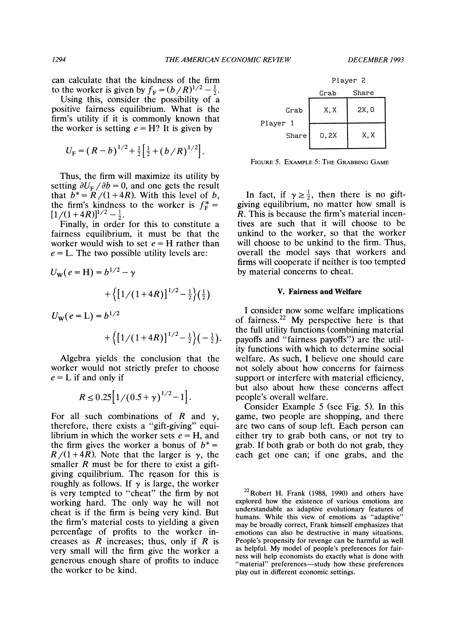**can calculate that the kindness of the firm**  to the worker is given by  $f_F = (b/R)^{1/2}$  –

**Using this, consider the possibility of a positive fairness equilibrium. What is the firm's utility if it is commonly known that**  the worker is setting  $e = H$ ? It is given by

$$
U_{\rm F}=(R-b)^{1/2}+\tfrac{1}{2}\left[\tfrac{1}{2}+\left(b/R\right)^{1/2}\right].
$$

**Thus, the firm will maximize its utility by**  setting  $\partial U_F / \partial b = 0$ , and one gets the result that  $\overrightarrow{b}^* = \overrightarrow{R}/(1+4R)$ . With this level of b, the firm's kindness to the worker is  $f_F^* =$  $[1/(1+4R)]^{1/2}$  -

**Finally, in order for this to constitute a fairness equilibrium, it must be that the**  worker would wish to set  $e = H$  rather than **e = L. The two possible utility levels are:** 

$$
U_{\mathbf{W}}(e = H) = b^{1/2} - \gamma
$$
  
+  $\{ [1/(1+4R)]^{1/2} - \frac{1}{2} \}(\frac{1}{2})$   

$$
U_{\mathbf{W}}(e = L) = b^{1/2}
$$
  
+  $\{ [1/(1+4R)]^{1/2} - \frac{1}{2} \}(-\frac{1}{2}).$ 

**Algebra yields the conclusion that the worker would not strictly prefer to choose**   $e = L$  if and only if

$$
R \le 0.25 \left[ 1/(0.5+\gamma)^{1/2} - 1 \right].
$$

For all such combinations of  $R$  and  $\gamma$ , **therefore, there exists a "gift-giving" equi**librium in which the worker sets  $e = H$ , and the firm gives the worker a bonus of  $b^*$  =  $R/(1+4R)$ . Note that the larger is  $\gamma$ , the **smaller R must be for there to exist a giftgiving equilibrium. The rpason for this is**  roughly as follows. If  $\gamma$  is large, the worker **is very tempted to "cheat" the firm by not working hard. The only way he will not cheat is if the firm is being very kind. But the firm's material costs to yielding a given percentage of profits to the worker increases as R increases; thus, only if R is very small will the firm give the worker a generous enough share of profits to induce the worker to be kind.** 



**FIGURE 5. EXAMPLE 5: THE GRABBING GAME** 

In fact, if  $\gamma \geq \frac{1}{2}$ , then there is no gift**giving equilibrium, no matter how small is R. This is because the firm's material incentives are such that it will choose to be unkind to the worker, so that the worker will choose to be unkind to the firm. Thus, overall the model says that workers and firms will cooperate if neither is too tempted by material concerns to cheat.** 

### **V. Fairness and Welfare**

**I consider now some welfare implications of fairness.22 My perspective here is that the full utility functions (combining material payoffs and "fairness payoffs") are the utility functions with which to determine social welfare. As such, I believe one should care not solely about how concerns for fairness support or interfere with material efficiency, but also about how these concerns affect people's overall welfare.** 

**Consider Example 5 (see Fig. 5). In this game, two people are shopping, and there are two cans of soup left. Each person can either try to grab both cans, or not try to grab. If both grab or both do not grab, they each get one can; if one grabs, and the** 

**22Robert H. Frank (1988, 1990) and others have explored how the existence of various emotions are understandable as adaptive evolutionary features of humans. While this view of emotions as "adaptive" may be broadly correct, Frank himself emphasizes that emotions can also be destructive in many situations. People's propensity for revenge can be harmful as well as helpful. My model of people's preferences for fairness will help economists do exactly what is done with "material" preferences-study how these preferences play out in different economic settings.**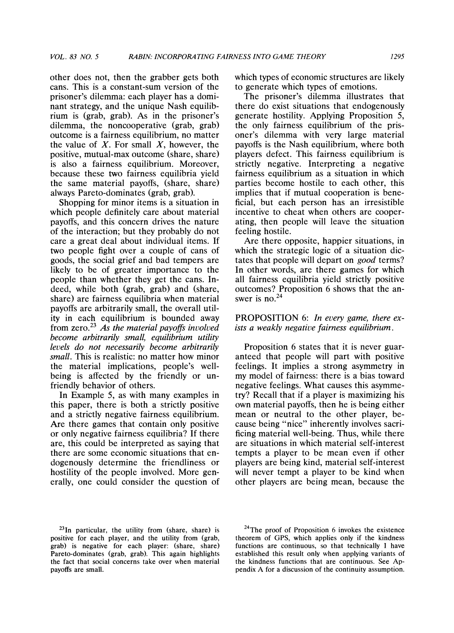**other does not, then the grabber gets both cans. This is a constant-sum version of the prisoner's dilemma: each player has a dominant strategy, and the unique Nash equilibrium is (grab, grab). As in the prisoner's dilemma, the noncooperative (grab, grab) outcome is a fairness equilibrium, no matter the value of X. For small X, however, the positive, mutual-max outcome (share, share) is also a fairness equilibrium. Moreover, because these two fairness equilibria yield the same material payoffs, (share, share) always Pareto-dominates (grab, grab).** 

**Shopping for minor items is a situation in which people definitely care about material payoffs, and this concern drives the nature of the interaction; but they probably do not care a great deal about individual items. If two people fight over a couple of cans of goods, the social grief and bad tempers are likely to be of greater importance to the people than whether they get the cans. Indeed, while both (grab, grab) and (share, share) are fairness equilibria when material payoffs are arbitrarily small, the overall utility in each equilibrium is bounded away from zero.23 As the material payoffs involved become arbitrarily small, equilibrium utility levels do not necessarily become arbitrarily small. This is realistic: no matter how minor the material implications, people's wellbeing is affected by the friendly or unfriendly behavior of others.** 

**In Example 5, as with many examples in this paper, there is both a strictly positive and a strictly negative fairness equilibrium. Are there games that contain only positive or only negative fairness equilibria? If there are, this could be interpreted as saying that there are some economic situations that endogenously determine the friendliness or hostility of the people involved. More generally, one could consider the question of**  **which types of economic structures are likely to generate which types of emotions.** 

**The prisoner's dilemma illustrates that there do exist situations that endogenously generate hostility. Applying Proposition 5, the only fairness equilibrium of the prisoner's dilemma with very large material payoffs is the Nash equilibrium, where both players defect. This fairness equilibrium is strictly negative. Interpreting a negative fairness equilibrium as a situation in which parties become hostile to each other, this implies that if mutual cooperation is beneficial, but each person has an irresistible incentive to cheat when others are cooperating, then people will leave the situation feeling hostile.** 

**Are there opposite, happier situations, in which the strategic logic of a situation dictates that people will depart on good terms? In other words, are there games for which all fairness equilibria yield strictly positive outcomes? Proposition 6 shows that the an**swer is no. $24$ 

**PROPOSITION 6: In every game, there exists a weakly negative fairness equilibrium.** 

**Proposition 6 states that it is never guaranteed that people will part with positive feelings. It implies a strong asymmetry in my model of fairness: there is a bias toward negative feelings. What causes this asymmetry? Recall that if a player is maximizing his own material payoffs, then he is being either mean or neutral to the other player, because being "nice" inherently involves sacrificing material well-being. Thus, while there are situations in which material self-interest tempts a player to be mean even if other players are being kind, material self-interest will never tempt a player to be kind when other players are being mean, because the** 

**<sup>23</sup>In particular, the utility from (share, share) is positive for each player, and the utility from (grab, grab) is negative for each player: (share, share) Pareto-dominates (grab, grab). This again highlights the fact that social concerns take over when material pavoffs are small.** 

**<sup>24</sup>The proof of Proposition 6 invokes the existence theorem of GPS, which applies only if the kindness functions are continuous, so that technically I have established this result only when applying variants of the kindness functions that are continuous. See Appendix A for a discussion of the continuity assumption.**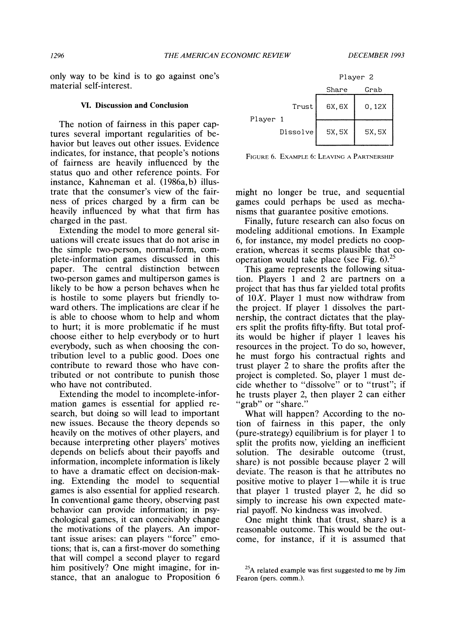**only way to be kind is to go against one's material self-interest.** 

#### **VI. Discussion and Conclusion**

**The notion of fairness in this paper captures several important regularities of behavior but leaves out other issues. Evidence indicates, for instance, that people's notions of fairness are heavily influenced by the status quo and other reference points. For instance, Kahneman et al. (1986a,b) illustrate that the consumer's view of the fairness of prices charged by a firm can be heavily influenced by what that firm has charged in the past.** 

**Extending the model to more general situations will create issues that do not arise in the simple two-person, normal-form, complete-information games discussed in this paper. The central distinction between two-person games and multiperson games is likely to be how a person behaves when he is hostile to some players but friendly toward others. The implications are clear if he is able to choose whom to help and whom to hurt; it is more problematic if he must choose either to help everybody or to hurt everybody, such as when choosing the contribution level to a public good. Does one contribute to reward those who have contributed or not contribute to punish those who have not contributed.** 

**Extending the model to incomplete-information games is essential for applied research, but doing so will lead to important new issues. Because the theory depends so heavily on the motives of other players, and because interpreting other players' motives depends on beliefs about their payoffs and information, incomplete information is likely to have a dramatic effect on decision-making. Extending the model to sequential games is also essential for applied research. In conventional game theory, observing past behavior can provide information; in psychological games, it can conceivably change the motivations of the players. An important issue arises: can players "force" emotions; that is, can a first-mover do something that will compel a second player to regard him positively? One might imagine, for instance, that an analogue to Proposition 6** 

| Player |  |
|--------|--|
|--------|--|

|          |          | Share  | Grab   |
|----------|----------|--------|--------|
| Player 1 | Trust    | 6X, 6X | 0,12X  |
|          | Dissolve | 5X, 5X | 5X, 5X |

**FIGURE 6. EXAMPLE 6: LEAVING A PARTNERSHIP** 

**might no longer be true, and sequential games could perhaps be used as mechanisms that guarantee positive emotions.** 

**Finally, future research can also focus on modeling additional emotions. In Example 6, for instance, my model predicts no cooperation, whereas it seems plausible that cooperation would take place (see Fig. 6).25** 

**This game represents the following situation. Players 1 and 2 are partners on a project that has thus far yielded total profits of 1OX. Player 1 must now withdraw from the project. If player 1 dissolves the partnership, the contract dictates that the players split the profits fifty-fifty. But total profits would be higher if player 1 leaves his resources in the project. To do so, however, he must forgo his contractual rights and trust player 2 to share the profits after the project is completed. So, player 1 must decide whether to "dissolve" or to "trust"; if he trusts player 2, then player 2 can either "grab" or "share."** 

**What will happen? According to the notion of fairness in this paper, the only (pure-strategy) equilibrium is for player 1 to split the profits now, yielding an inefficient solution. The desirable outcome (trust, share) is not possible because player 2 will deviate. The reason is that he attributes no positive motive to player 1-while it is true that player 1 trusted player 2, he did so simply to increase his own expected material payoff. No kindness was involved.** 

**One might think that (trust, share) is a reasonable outcome. This would be the outcome, for instance, if it is assumed that** 

**<sup>25</sup>  A related example was first suggested to me by Jim Fearon (pers. comm.).**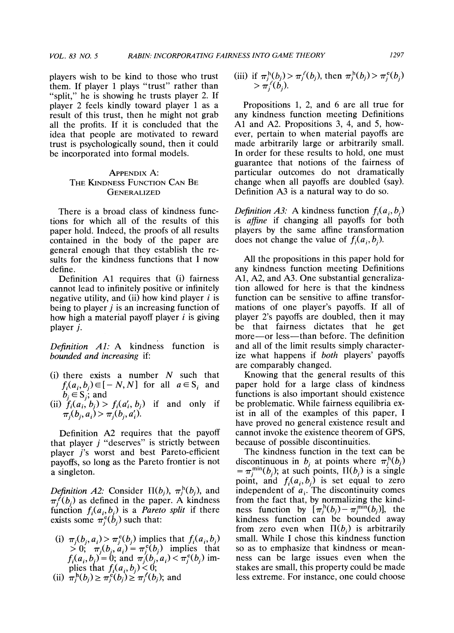**players wish to be kind to those who trust them. If player 1 plays "trust" rather than "split," he is showing he trusts player 2. If player 2 feels kindly toward player 1 as a result of this trust, then he might not grab all the profits. If it is concluded that the idea that people are motivated to reward trust is psychologically sound, then it could be incorporated into formal models.** 

# **APPENDIX A: THE KINDNESS FUNCTION CAN BE GENERALIZED**

**There is a broad class of kindness functions for which all of the results of this paper hold. Indeed, the proofs of all results contained in the body of the paper are general enough that they establish the results for the kindness functions that I now define.** 

**Definition Al requires that (i) fairness cannot lead to infinitely positive or infinitely negative utility, and (ii) how kind player i is being to player j is an increasing function of how high a material payoff player i is giving player j.** 

**Definition Al: A kindness function is bounded and increasing if:** 

- **(i) there exists a number N such that**   $f_i(a_i, b_i) \in [-N, N]$  for all  $a \in S_i$  and  $b_j \in S_j$ ; and
- (ii)  $f_i(a_i, b_j) > f_i(a'_i, b_j)$  if and only if  $\pi_j(b_j, a_i) > \pi_j(b_j, a'_i).$

**Definition A2 requires that the payoff that player j "deserves" is strictly between player j's worst and best Pareto-efficient payoffs, so long as the Pareto frontier is not a singleton.** 

*Definition A2:* Consider  $\Pi(b_i)$ ,  $\pi_i^h(b_i)$ , and  $\pi_i^{\ell}(b_i)$  as defined in the paper. A kindness function  $f_i(a_i, b_j)$  is a *Pareto split* if there exists some  $\pi_i^e(b_i)$  such that:

(i)  $\pi_i(b_i, a_i) > \pi_i^e(b_i)$  implies that  $f_i(a_i, b_i)$  $> 0$ ;  $\pi_j(b_j, a_i) = \pi_j^e(b_j)$  implies that  $f_i(a_i, b_j) = 0$ ; and  $\pi_j(b_j, a_i) < \pi_j^e(b_j)$  implies that  $f_i(a_i, b_i) < 0$ ;

(ii) 
$$
\pi_j^{\text{h}}(b_j) \ge \pi_j^{\text{e}}(b_j) \ge \pi_j^{\ell}(b_j)
$$
; and

(iii) if 
$$
\pi_j^h(b_j) > \pi_j^{\ell}(b_j)
$$
, then  $\pi_j^h(b_j) > \pi_j^e(b_j)$   
>  $\pi_i^{\ell}(b_j)$ .

**Propositions 1, 2, and 6 are all true for any kindness function meeting Definitions Al and A2. Propositions 3, 4, and 5, however, pertain to when material payoffs are made arbitrarily large or arbitrarily small. In order for these results to hold, one must guarantee that notions of the fairness of particular outcomes do not dramatically change when all payoffs are doubled (say). Definition A3 is a natural way to do so.** 

*Definition A3:* A kindness function  $f_i(a_i, b_j)$ **is affine if changing all payoffs for both players by the same affine transformation**  does not change the value of  $f_i(a_i, b_i)$ .

**All the propositions in this paper hold for any kindness function meeting Definitions Al, A2, and A3. One substantial generalization allowed for here is that the kindness function can be sensitive to affine transformations of one player's payoffs. If all of player 2's payoffs are doubled, then it may be that fairness dictates that he get more-or less-than before. The definition and all of the limit results simply characterize what happens if both players' payoffs are comparably changed.** 

**Knowing that the general results of this paper hold for a large class of kindness functions is also important should existence be problematic. While fairness equilibria exist in all of the examples of this paper, I have proved no general existence result and cannot invoke the existence theorem of GPS, because of possible discontinuities.** 

**The kindness function in the text can be**  discontinuous in  $b_i$  at points where  $\pi_j^h(b_j)$  $=\pi_i^{\min}(b_i)$ ; at such points,  $\Pi(b_i)$  is a single point, and  $f_i(a_i, b_j)$  is set equal to zero independent of  $a_i$ . The discontinuity comes **from the fact that, by normalizing the kindness** function by  $[\pi_j^h(b_j) - \pi_j^{min}(b_j)]$ , the **kindness function can be bounded away**  from zero even when  $\Pi(b_i)$  is arbitrarily **small. While I chose this kindness function so as to emphasize that kindness or meanness can be large issues even when the stakes are small, this property could be made less extreme. For instance, one could choose**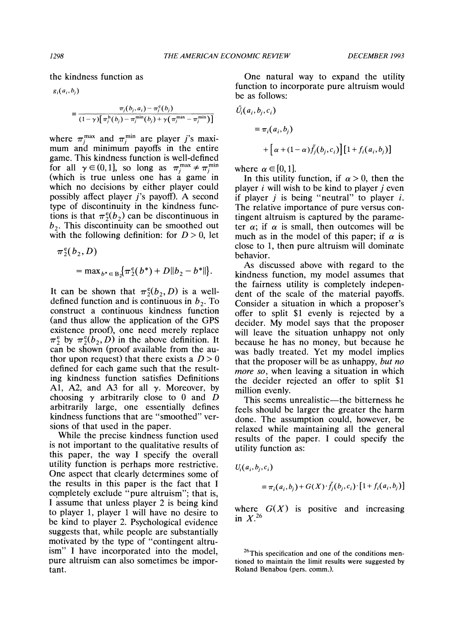**the kindness function as** 

 $g_i(a_i, b_j)$ 

$$
\equiv \frac{\pi_j(b_j,a_i) - \pi_j^{\rm e}(b_j)}{(1-\gamma)\left[\pi_j^{\rm h}(b_j) - \pi_j^{\rm min}(b_j) + \gamma\left(\pi_j^{\rm max} - \pi_j^{\rm min}\right)\right]}
$$

where  $\pi_j^{\max}$  and  $\pi_j^{\min}$  are player j's maxi**mum and minimum payoffs in the entire game. This kindness function is well-defined for all**  $\gamma \in (0,1]$ , so long as  $\pi_i^{\max} \neq \pi_i^{\min}$ **(which is true unless one has a game in which no decisions by either player could possibly affect player j's payoff). A second type of discontinuity in the kindness func**tions is that  $\pi_2^e(b_2)$  can be discontinuous in  $b_2$ . This discontinuity can be smoothed out with the following definition: for  $D > 0$ , let

$$
\pi_2^e(b_2, D)
$$
  
= max<sub>b\* ∈ B<sub>2</sub></sub>{ $\pi_2^e(b^*)$  +  $D||b_2 - b^*||$  }.

It can be shown that  $\pi_2^{\text{e}}(b_2, D)$  is a welldefined function and is continuous in  $b_2$ . To **construct a continuous kindness function (and thus allow the application of the GPS existence proof), one need merely replace**   $\pi_2^e$  by  $\pi_2^e(b_2, D)$  in the above definition. It **can be shown (proof available from the au**thor upon request) that there exists a  $D > 0$ **defined for each game such that the resulting kindness function satisfies Definitions**  A1, A2, and A3 for all  $\gamma$ . Moreover, by choosing  $\gamma$  arbitrarily close to 0 and D **arbitrarily large, one essentially defines kindness functions that are "smoothed" versions of that used in the paper.** 

**While the precise kindness function used is not important to the qualitative results of this paper, the way I specify the overall utility function is perhaps more restrictive. One aspect that clearly determines some of the results in this paper is the fact that I completely exclude "pure altruism"; that is, I assume that unless player 2 is being kind to player 1, player 1 will have no desire to be kind to player 2. Psychological evidence suggests that, while people are substantially motivated by the type of "contingent altruism" I have incorporated into the model, pure altruism can also sometimes be important.** 

**One natural way to expand the utility function to incorporate pure altruism would be as follows:** 

$$
\tilde{U}_i(a_i, b_j, c_i)
$$
\n
$$
\equiv \pi_i(a_i, b_j)
$$
\n
$$
+ \left[ \alpha + (1 - \alpha) \tilde{f}_j(b_j, c_i) \right] \left[ 1 + f_i(a_i, b_j) \right]
$$

where  $\alpha \in [0, 1]$ .

In this utility function, if  $\alpha > 0$ , then the **player i will wish to be kind to player j even if player j is being "neutral" to player i. The relative importance of pure versus contingent altruism is captured by the parame**ter  $\alpha$ ; if  $\alpha$  is small, then outcomes will be much as in the model of this paper; if  $\alpha$  is **close to 1, then pure altruism will dominate behavior.** 

**As discussed above with regard to the kindness function, my model assumes that the fairness utility is completely independent of the scale of the material payoffs. Consider a situation in which a proposer's offer to split \$1 evenly is rejected by a decider. My model says that the proposer will leave the situation unhappy not only because he has no money, but because he was badly treated. Yet my model implies that the proposer will be as unhappy, but no more so, when leaving a situation in which the decider rejected an offer to split \$1 million evenly.** 

**This seems unrealistic-the bitterness he feels should be larger the greater the harm done. The assumption could, however, be relaxed while maintaining all the general results of the paper. I could specify the utility function as:** 

$$
U_i(a_i,b_j,c_i)
$$

$$
\equiv \pi_i(a_i, b_j) + G(X) \cdot \tilde{f}_j(b_j, c_i) \cdot [1 + f_i(a_i, b_j)]
$$

where  $G(X)$  is positive and increasing in  $X^{26}$ 

**<sup>26</sup>This specification and one of the conditions mentioned to maintain the limit results were suggested by Roland Benabou (pers. comm.).**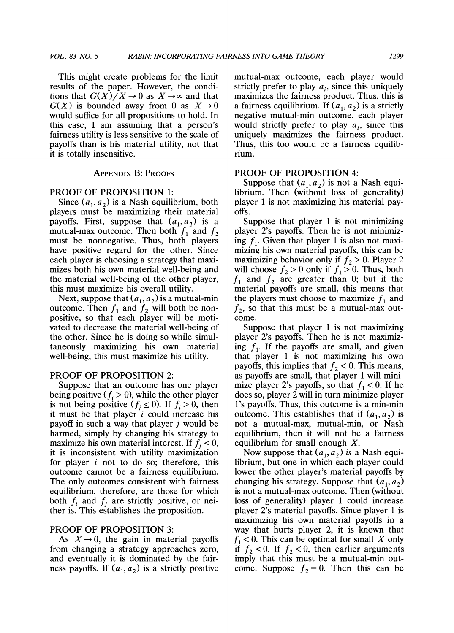**This might create problems for the limit results of the paper. However, the conditions that**  $G(X)/X \to 0$  **as**  $X \to \infty$  **and that**  $G(X)$  is bounded away from 0 as  $X \to 0$ **would suffice for all propositions to hold. In this case, I am assuming that a person's fairness utility is less sensitive to the scale of payoffs than is his material utility, not that it is totally insensitive.** 

## **APPENDIX B: PROOFS**

# **PROOF OF PROPOSITION 1:**

Since  $(a_1, a_2)$  is a Nash equilibrium, both **players must be maximizing their material payoffs.** First, suppose that  $(a_1, a_2)$  is a mutual-max outcome. Then both  $f_1$  and  $f_2$ **must be nonnegative. Thus, both players have positive regard for the other. Since each player is choosing a strategy that maximizes both his own material well-being and the material well-being of the other player, this must maximize his overall utility.** 

Next, suppose that  $(a_1, a_2)$  is a mutual-min outcome. Then  $f_1$  and  $f_2$  will both be non**positive, so that each player will be motivated to decrease the material well-being of the other. Since he is doing so while simultaneously maximizing his own material well-being, this must maximize his utility.** 

# **PROOF OF PROPOSITION 2:**

**Suppose that an outcome has one player being positive (** $f_i > 0$ **), while the other player** is not being positive  $(f_j \le 0)$ . If  $f_i > 0$ , then **it must be that player i could increase his payoff in such a way that player j would be harmed, simply by changing his strategy to maximize his own material interest. If**  $f_i \leq 0$ **, it is inconsistent with utility maximization for player i not to do so; therefore, this outcome cannot be a fairness equilibrium. The only outcomes consistent with fairness equilibrium, therefore, are those for which**  both  $f_i$  and  $f_j$  are strictly positive, or nei**ther is. This establishes the proposition.** 

## **PROOF OF PROPOSITION 3:**

As  $X \rightarrow 0$ , the gain in material payoffs **from changing a strategy approaches zero, and eventually it is dominated by the fair**ness payoffs. If  $(a_1, a_2)$  is a strictly positive

**mutual-max outcome, each player would**  strictly prefer to play  $a_i$ , since this uniquely **maximizes the fairness product. Thus, this is a** fairness equilibrium. If  $(a_1, a_2)$  is a strictly **negative mutual-min outcome, each player**  would strictly prefer to play  $a_i$ , since this **uniquely maximizes the fairness product. Thus, this too would be a fairness equilibrium.** 

# **PROOF OF PROPOSITION 4:**

Suppose that  $(a_1, a_2)$  is not a Nash equi**librium. Then (without loss of generality) player 1 is not maximizing his material payoffs.** 

**Suppose that player 1 is not minimizing player 2's payoffs. Then he is not minimiz**ing  $f_1$ . Given that player 1 is also not maxi**mizing his own material payoffs, this can be maximizing behavior only if**  $f_2 > 0$ **. Player 2** will choose  $f_2 > 0$  only if  $f_1 > 0$ . Thus, both  $f_1$  and  $f_2$  are greater than 0; but if the **material payoffs are small, this means that**  the players must choose to maximize  $f_1$  and  $f_2$ , so that this must be a mutual-max out**come.** 

**Suppose that player 1 is not maximizing player 2's payoffs. Then he is not maximiz-** $\int f_1$ . If the payoffs are small, and given **that player 1 is not maximizing his own**  payoffs, this implies that  $f_2 < 0$ . This means, **as payoffs are small, that player 1 will mini**mize player 2's payoffs, so that  $f_1 < 0$ . If he **does so, player 2 will in turn minimize player l's payoffs. Thus, this outcome is a min-min outcome.** This establishes that if  $(a_1, a_2)$  is **not a mutual-max, mutual-min, or Nash equilibrium, then it will not be a fairness equilibrium for small enough X.** 

Now suppose that  $(a_1, a_2)$  *is* a Nash equi**librium, but one in which each player could lower the other player's material payoffs by**  changing his strategy. Suppose that  $(a_1, a_2)$ **is not a mutual-max outcome. Then (without loss of generality) player 1 could increase player 2's material payoffs. Since player 1 is maximizing his own material payoffs in a way that hurts player 2, it is known that**   $f_1$  < 0. This can be optimal for small X only if  $f_2 \leq 0$ . If  $f_2 < 0$ , then earlier arguments **imply that this must be a mutual-min out**come. Suppose  $f_2 = 0$ . Then this can be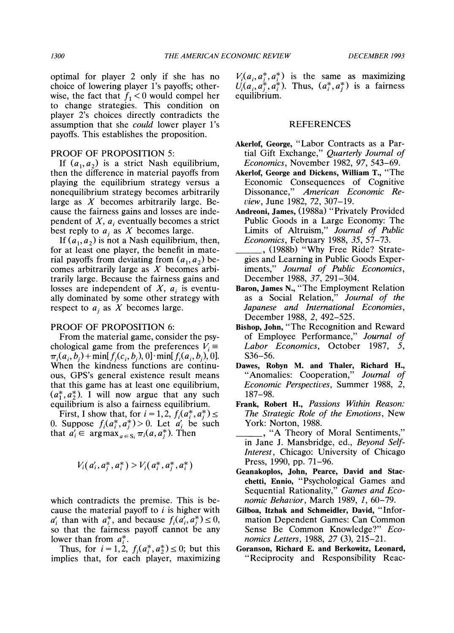**optimal for player 2 only if she has no choice of lowering player l's payoffs; other**wise, the fact that  $f_1 < 0$  would compel her **to change strategies. This condition on player 2's choices directly contradicts the assumption that she could lower player l's payoffs. This establishes the proposition.** 

## **PROOF OF PROPOSITION 5:**

If  $(a_1, a_2)$  is a strict Nash equilibrium, **then the difference in material payoffs from playing the equilibrium strategy versus a nonequilibrium strategy becomes arbitrarily large as X becomes arbitrarily large. Because the fairness gains and losses are inde**pendent of  $X$ ,  $a_i$  eventually becomes a strict best reply to  $a_i$  as  $X$  becomes large.

If  $(a_1, a_2)$  is not a Nash equilibrium, then, **for at least one player, the benefit in mate**rial payoffs from deviating from  $(a_1, a_2)$  be**comes arbitrarily large as X becomes arbitrarily large. Because the fairness gains and**  losses are independent of  $X$ ,  $a_i$  is eventu**ally dominated by some other strategy with**  respect to  $a_i$  as  $X$  becomes large.

# **PROOF OF PROPOSITION 6:**

**From the material game, consider the psy**chological game from the preferences  $V_i$  $\pi_i(a_i, b_j)$  + min[ $f_i(c_i, b_j)$ , 0] · min[ $f_i(a_i, b_j)$ , 0]. **When the kindness functions are continuous, GPS's general existence result means that this game has at least one equilibrium,**   $(a_1^*, a_2^*)$ . I will now argue that any such **equilibrium is also a fairness equilibrium.** 

**First, I show that, for**  $i = 1, 2$ **,**  $f_i(a_i^*, a_i^*) \leq$ 0. Suppose  $f_i(a_i^*, a_j^*) > 0$ . Let  $a'_i$  be such **that**  $a'_i \in \argmax_{a \in S_i} \pi_i(a, a_i^*)$ . Then

$$
V_i(a'_i, a^*_j, a^*_i) > V_i(a^*_i, a^*_j, a^*_i)
$$

**which contradicts the premise. This is because the material payoff to i is higher with**   $a'_i$  than with  $a_i^*$ , and because  $f_i(a'_i, a_i^*) \leq 0$ , **so that the fairness payoff cannot be any**  lower than from  $a_i^*$ .

Thus, for  $i = 1, 2$ ,  $f_i(a_i^*, a_2^*) \leq 0$ ; but this **implies that, for each player, maximizing** 

 $V_i(a_i, a_i^*, a_i^*)$  is the same as maximizing  $U_i(a_i, a_i^*, a_i^*)$ . Thus,  $(a_i^*, a_i^*)$  is a fairness **equilibrium.** 

## **REFERENCES**

- **Akerlof, George, "Labor Contracts as a Partial Gift Exchange," Quarterly Journal of Economics, November 1982, 97, 543-69.**
- **Akerlof, George and Dickens, William T., "The Economic Consequences of Cognitive Dissonance," American Economic Review, June 1982, 72, 307-19.**
- **Andreoni, James, (1988a) "Privately Provided Public Goods in a Large Economy: The Limits of Altruism," Journal of Public Economics, February 1988, 35, 57-73.**
- **, (1988b) "Why Free Ride? Strategies and Learning in Public Goods Experiments," Journal of Public Economics, December 1988, 37, 291-304.**
- **Baron, James N., "The Employment Relation as a Social Relation," Journal of the Japanese and International Economies, December 1988, 2, 492-525.**
- **Bishop, John, "The Recognition and Reward of Employee Performance," Journal of Labor Economics, October 1987, 5, S36-56.**
- **Dawes, Robyn M. and Thaler, Richard H., "Anomalies: Cooperation," Journal of Economic Perspectives, Summer 1988, 2, 187-98.**
- **Frank, Robert H., Passions Within Reason: The Strategic Role of the Emotions, New York: Norton, 1988.**
- **, "A Theory of Moral Sentiments," in Jane J. Mansbridge, ed., Beyond Self-Interest, Chicago: University of Chicago Press, 1990, pp. 71-96.**
- **Geanakoplos, John, Pearce, David and Stacchetti, Ennio, "Psychological Games and Sequential Rationality," Games and Economic Behavior, March 1989, 1, 60-79.**
- **Gilboa, Itzhak and Schmeidler, David, "Information Dependent Games: Can Common Sense Be Common Knowledge?" Economics Letters, 1988, 27 (3), 215-21.**
- **Goranson, Richard E. and Berkowitz, Leonard, "Reciprocity and Responsibility Reac-**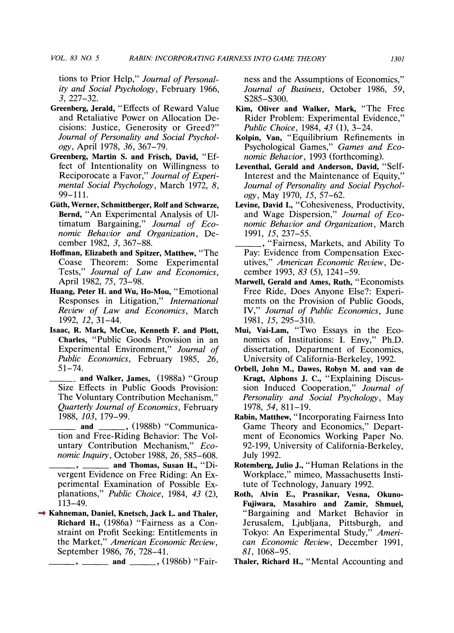**tions to Prior Help," Journal of Personality and Social Psychology, February 1966, 3, 227-32.** 

- **Greenberg, Jerald, "Effects of Reward Value and Retaliative Power on Allocation Decisions: Justice, Generosity or Greed?" Journal of Personality and Social Psychology, April 1978, 36, 367-79.**
- **Greenberg, Martin S. and Frisch, David, "Effect of Intentionality on Willingness to Reciporocate a Favor," Journal of Experimental Social Psychology, March 1972, 8, 99-111.**
- **Guth, Werner, Schmittberger, Rolf and Schwarze, Bernd, "An Experimental Analysis of Ultimatum Bargaining," Journal of Economic Behavior and Organization, December 1982, 3, 367-88.**
- **Hoffman, Elizabeth and Spitzer, Matthew, "The Coase Theorem: Some Experimental Tests," Journal of Law and Economics, April 1982, 75, 73-98.**
- **Huang, Peter H. and Wu, Ho-Mou, "Emotional Responses in Litigation," International Review of Law and Economics, March 1992, 12, 31-44.**
- **Isaac, R. Mark, McCue, Kenneth F. and Plott, Charles, "Public Goods Provision in an Experimental Environment," Journal of Public Economics, February 1985, 26, 51-74.** 
	- **and Walker, James, (1988a) "Group Size Effects in Public Goods Provision: The Voluntary Contribution Mechanism," Quarterly Journal of Economics, February 1988, 103, 179-99.**
	- **.** and \_\_\_\_\_\_, (1988b) "Communica**tion and Free-Riding Behavior: The Voluntary Contribution Mechanism," Economic Inquiry, October 1988, 26, 585-608.**
- **\_ and Thomas, Susan H., "Divergent Evidence on Free Riding: An Experimental Examination of Possible Explanations," Public Choice, 1984, 43 (2), 113-49.**
- **Kahneman, Daniel, Knetsch, Jack L. and Thaler, Richard H., (1986a) "Fairness as a Constraint on Profit Seeking: Entitlements in the Market," American Economic Review, September 1986, 76, 728-41.**

**\_ and \_ \_, (1986b) "Fair-**

**ness and the Assumptions of Economics," Journal of Business, October 1986, 59, S285-S300.** 

- **Kim, Oliver and Walker, Mark, "The Free Rider Problem: Experimental Evidence," Public Choice, 1984, 43 (1), 3-24.**
- **Kolpin, Van, "Equilibrium Refinements in Psychological Games," Games and Economic Behavior, 1993 (forthcoming).**
- **Leventhal, Gerald and Anderson, David, "Self-Interest and the Maintenance of Equity," Journal of Personality and Social Psychology, May 1970, 15, 57-62.**
- **Levine, David I., "Cohesiveness, Productivity, and Wage Dispersion," Journal of Economic Behavior and Organization, March 1991, 15, 237-55.**
- **, "Fairness, Markets, and Ability To Pay: Evidence from Compensation Executives," American Economic Review, December 1993, 83 (5), 1241-59.**
- **Marwell, Gerald and Ames, Ruth, "Economists Free Ride, Does Anyone Else?: Experiments on the Provision of Public Goods, IV," Journal of Public Economics, June 1981, 15, 295-310.**
- **Mui, Vai-Lam, "Two Essays in the Economics of Institutions: I. Envy," Ph.D. dissertation, Department of Economics, University of California-Berkeley, 1992.**
- **Orbell, John M., Dawes, Robyn M. and van de Kragt, Alphons J. C., "Explaining Discussion Induced Cooperation," Journal of Personality and Social Psychology, May 1978, 54, 811-19.**
- **Rabin, Matthew, "Incorporating Fairness Into Game Theory and Economics," Department of Economics Working Paper No. 92-199, University of California-Berkeley, July 1992.**
- **Rotemberg, Julio J., "Human Relations in the Workplace," mimeo, Massachusetts Institute of Technology, January 1992.**
- **Roth, Alvin E., Prasnikar, Vesna, Okuno-Fujiwara, Masahiro and Zamir, Shmuel, "Bargaining and Market Behavior in Jerusalem, Ljubljana, Pittsburgh, and Tokyo: An Experimental Study," American Economic Review, December 1991, 81, 1068-95.**
- **Thaler, Richard H., "Mental Accounting and**